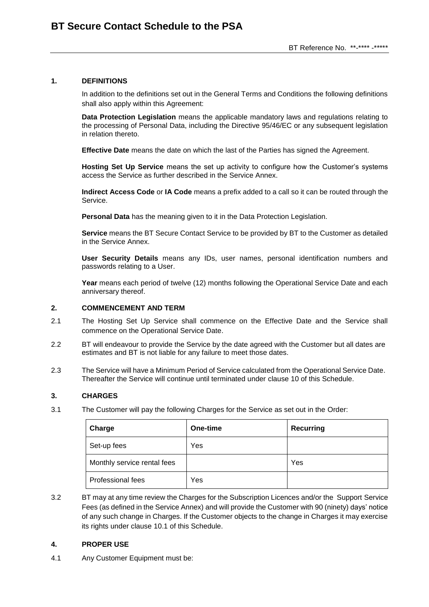#### **1. DEFINITIONS**

In addition to the definitions set out in the General Terms and Conditions the following definitions shall also apply within this Agreement:

**Data Protection Legislation** means the applicable mandatory laws and regulations relating to the processing of Personal Data, including the Directive 95/46/EC or any subsequent legislation in relation thereto.

**Effective Date** means the date on which the last of the Parties has signed the Agreement.

**Hosting Set Up Service** means the set up activity to configure how the Customer's systems access the Service as further described in the Service Annex.

**Indirect Access Code** or **IA Code** means a prefix added to a call so it can be routed through the Service.

**Personal Data** has the meaning given to it in the Data Protection Legislation.

**Service** means the BT Secure Contact Service to be provided by BT to the Customer as detailed in the Service Annex.

**User Security Details** means any IDs, user names, personal identification numbers and passwords relating to a User.

**Year** means each period of twelve (12) months following the Operational Service Date and each anniversary thereof.

#### **2. COMMENCEMENT AND TERM**

- 2.1 The Hosting Set Up Service shall commence on the Effective Date and the Service shall commence on the Operational Service Date.
- 2.2 BT will endeavour to provide the Service by the date agreed with the Customer but all dates are estimates and BT is not liable for any failure to meet those dates.
- 2.3 The Service will have a Minimum Period of Service calculated from the Operational Service Date. Thereafter the Service will continue until terminated under clause 10 of this Schedule.

#### **3. CHARGES**

3.1 The Customer will pay the following Charges for the Service as set out in the Order:

| Charge                      | One-time | <b>Recurring</b> |
|-----------------------------|----------|------------------|
| Set-up fees                 | Yes      |                  |
| Monthly service rental fees |          | Yes              |
| Professional fees           | Yes      |                  |

3.2 BT may at any time review the Charges for the Subscription Licences and/or the Support Service Fees (as defined in the Service Annex) and will provide the Customer with 90 (ninety) days' notice of any such change in Charges. If the Customer objects to the change in Charges it may exercise its rights under clause 10.1 of this Schedule.

#### **4. PROPER USE**

<span id="page-0-0"></span>4.1 Any Customer Equipment must be: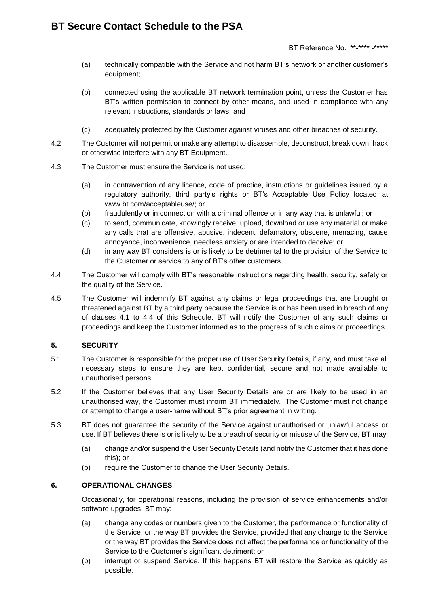- (a) technically compatible with the Service and not harm BT's network or another customer's equipment;
- (b) connected using the applicable BT network termination point, unless the Customer has BT's written permission to connect by other means, and used in compliance with any relevant instructions, standards or laws; and
- (c) adequately protected by the Customer against viruses and other breaches of security.
- 4.2 The Customer will not permit or make any attempt to disassemble, deconstruct, break down, hack or otherwise interfere with any BT Equipment.
- 4.3 The Customer must ensure the Service is not used:
	- (a) in contravention of any licence, code of practice, instructions or guidelines issued by a regulatory authority, third party's rights or BT's Acceptable Use Policy located at [www.bt.com/acceptableuse/;](http://www.bt.com/acceptableuse/) or
	- (b) fraudulently or in connection with a criminal offence or in any way that is unlawful; or
	- (c) to send, communicate, knowingly receive, upload, download or use any material or make any calls that are offensive, abusive, indecent, defamatory, obscene, menacing, cause annoyance, inconvenience, needless anxiety or are intended to deceive; or
	- (d) in any way BT considers is or is likely to be detrimental to the provision of the Service to the Customer or service to any of BT's other customers.
- <span id="page-1-0"></span>4.4 The Customer will comply with BT's reasonable instructions regarding health, security, safety or the quality of the Service.
- 4.5 The Customer will indemnify BT against any claims or legal proceedings that are brought or threatened against BT by a third party because the Service is or has been used in breach of any of clauses [4.1](#page-0-0) to [4.4](#page-1-0) of this Schedule. BT will notify the Customer of any such claims or proceedings and keep the Customer informed as to the progress of such claims or proceedings.

## **5. SECURITY**

- 5.1 The Customer is responsible for the proper use of User Security Details, if any, and must take all necessary steps to ensure they are kept confidential, secure and not made available to unauthorised persons.
- 5.2 If the Customer believes that any User Security Details are or are likely to be used in an unauthorised way, the Customer must inform BT immediately. The Customer must not change or attempt to change a user-name without BT's prior agreement in writing.
- 5.3 BT does not guarantee the security of the Service against unauthorised or unlawful access or use. If BT believes there is or is likely to be a breach of security or misuse of the Service, BT may:
	- (a) change and/or suspend the User Security Details (and notify the Customer that it has done this); or
	- (b) require the Customer to change the User Security Details.

## **6. OPERATIONAL CHANGES**

Occasionally, for operational reasons, including the provision of service enhancements and/or software upgrades, BT may:

- (a) change any codes or numbers given to the Customer, the performance or functionality of the Service, or the way BT provides the Service, provided that any change to the Service or the way BT provides the Service does not affect the performance or functionality of the Service to the Customer's significant detriment; or
- (b) interrupt or suspend Service. If this happens BT will restore the Service as quickly as possible.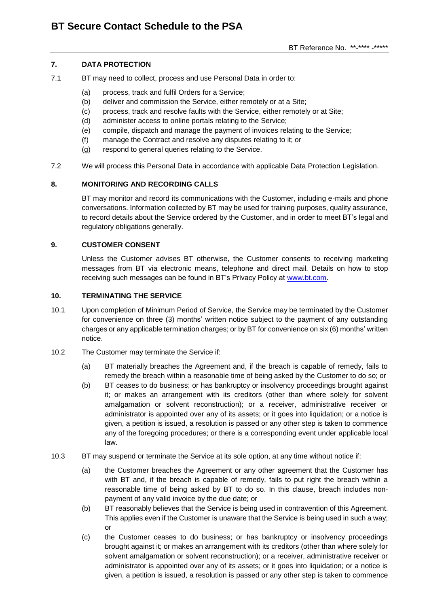## **7. DATA PROTECTION**

- 7.1 BT may need to collect, process and use Personal Data in order to:
	- (a) process, track and fulfil Orders for a Service;
	- (b) deliver and commission the Service, either remotely or at a Site;
	- (c) process, track and resolve faults with the Service, either remotely or at Site;
	- (d) administer access to online portals relating to the Service;
	- (e) compile, dispatch and manage the payment of invoices relating to the Service;
	- (f) manage the Contract and resolve any disputes relating to it; or
	- (g) respond to general queries relating to the Service.
- 7.2 We will process this Personal Data in accordance with applicable Data Protection Legislation.

## **8. MONITORING AND RECORDING CALLS**

BT may monitor and record its communications with the Customer, including e-mails and phone conversations. Information collected by BT may be used for training purposes, quality assurance, to record details about the Service ordered by the Customer, and in order to meet BT's legal and regulatory obligations generally.

#### **9. CUSTOMER CONSENT**

Unless the Customer advises BT otherwise, the Customer consents to receiving marketing messages from BT via electronic means, telephone and direct mail. Details on how to stop receiving such messages can be found in BT's Privacy Policy at [www.bt.com.](http://www.bt.com/)

#### **10. TERMINATING THE SERVICE**

- 10.1 Upon completion of Minimum Period of Service, the Service may be terminated by the Customer for convenience on three (3) months' written notice subject to the payment of any outstanding charges or any applicable termination charges; or by BT for convenience on six (6) months' written notice.
- 10.2 The Customer may terminate the Service if:
	- (a) BT materially breaches the Agreement and, if the breach is capable of remedy, fails to remedy the breach within a reasonable time of being asked by the Customer to do so; or
	- (b) BT ceases to do business; or has bankruptcy or insolvency proceedings brought against it; or makes an arrangement with its creditors (other than where solely for solvent amalgamation or solvent reconstruction); or a receiver, administrative receiver or administrator is appointed over any of its assets; or it goes into liquidation; or a notice is given, a petition is issued, a resolution is passed or any other step is taken to commence any of the foregoing procedures; or there is a corresponding event under applicable local law.
- 10.3 BT may suspend or terminate the Service at its sole option, at any time without notice if:
	- (a) the Customer breaches the Agreement or any other agreement that the Customer has with BT and, if the breach is capable of remedy, fails to put right the breach within a reasonable time of being asked by BT to do so. In this clause, breach includes nonpayment of any valid invoice by the due date; or
	- (b) BT reasonably believes that the Service is being used in contravention of this Agreement. This applies even if the Customer is unaware that the Service is being used in such a way; or
	- (c) the Customer ceases to do business; or has bankruptcy or insolvency proceedings brought against it; or makes an arrangement with its creditors (other than where solely for solvent amalgamation or solvent reconstruction); or a receiver, administrative receiver or administrator is appointed over any of its assets; or it goes into liquidation; or a notice is given, a petition is issued, a resolution is passed or any other step is taken to commence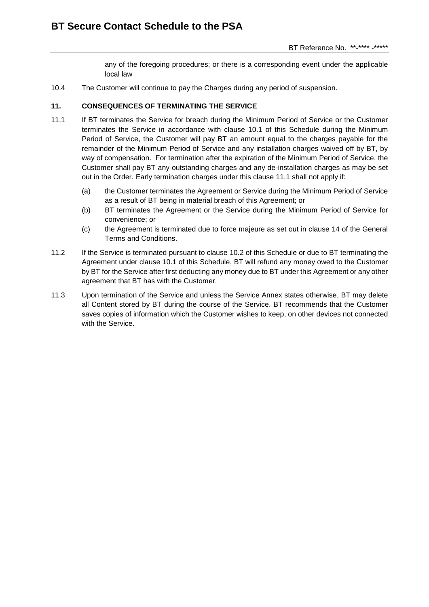any of the foregoing procedures; or there is a corresponding event under the applicable local law

<span id="page-3-0"></span>10.4 The Customer will continue to pay the Charges during any period of suspension.

## **11. CONSEQUENCES OF TERMINATING THE SERVICE**

- 11.1 If BT terminates the Service for breach during the Minimum Period of Service or the Customer terminates the Service in accordance with clause 10.1 of this Schedule during the Minimum Period of Service, the Customer will pay BT an amount equal to the charges payable for the remainder of the Minimum Period of Service and any installation charges waived off by BT, by way of compensation. For termination after the expiration of the Minimum Period of Service, the Customer shall pay BT any outstanding charges and any de-installation charges as may be set out in the Order. Early termination charges under this clause 11.1 shall not apply if:
	- (a) the Customer terminates the Agreement or Service during the Minimum Period of Service as a result of BT being in material breach of this Agreement; or
	- (b) BT terminates the Agreement or the Service during the Minimum Period of Service for convenience; or
	- (c) the Agreement is terminated due to force majeure as set out in clause 14 of the General Terms and Conditions.
- 11.2 If the Service is terminated pursuant to clause 10.2 of this Schedule or due to BT terminating the Agreement under clause 10.1 of this Schedule, BT will refund any money owed to the Customer by BT for the Service after first deducting any money due to BT under this Agreement or any other agreement that BT has with the Customer.
- 11.3 Upon termination of the Service and unless the Service Annex states otherwise, BT may delete all Content stored by BT during the course of the Service. BT recommends that the Customer saves copies of information which the Customer wishes to keep, on other devices not connected with the Service.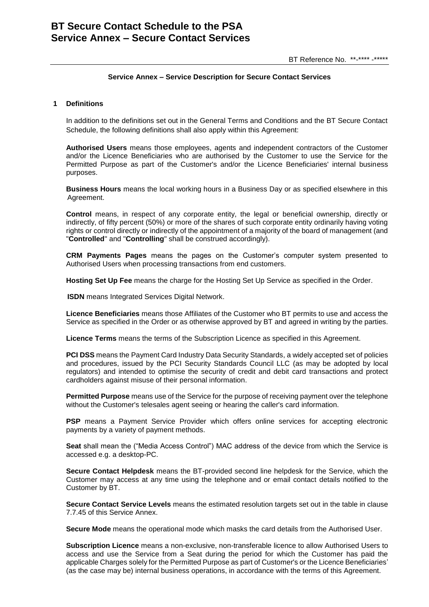# **BT Secure Contact Schedule to the PSA Service Annex – Secure Contact Services**

#### **Service Annex – Service Description for Secure Contact Services**

#### **1 Definitions**

In addition to the definitions set out in the General Terms and Conditions and the BT Secure Contact Schedule, the following definitions shall also apply within this Agreement:

**Authorised Users** means those employees, agents and independent contractors of the Customer and/or the Licence Beneficiaries who are authorised by the Customer to use the Service for the Permitted Purpose as part of the Customer's and/or the Licence Beneficiaries' internal business purposes.

**Business Hours** means the local working hours in a Business Day or as specified elsewhere in this Agreement.

**Control** means, in respect of any corporate entity, the legal or beneficial ownership, directly or indirectly, of fifty percent (50%) or more of the shares of such corporate entity ordinarily having voting rights or control directly or indirectly of the appointment of a majority of the board of management (and "**Controlled**" and "**Controlling**" shall be construed accordingly).

**CRM Payments Pages** means the pages on the Customer's computer system presented to Authorised Users when processing transactions from end customers.

**Hosting Set Up Fee** means the charge for the Hosting Set Up Service as specified in the Order.

**ISDN** means Integrated Services Digital Network.

**Licence Beneficiaries** means those Affiliates of the Customer who BT permits to use and access the Service as specified in the Order or as otherwise approved by BT and agreed in writing by the parties.

**Licence Terms** means the terms of the Subscription Licence as specified in this Agreement.

**PCI DSS** means the Payment Card Industry Data Security Standards, a widely accepted set of policies and procedures, issued by the PCI Security Standards Council LLC (as may be adopted by local regulators) and intended to optimise the security of credit and debit card transactions and protect cardholders against misuse of their personal information.

**Permitted Purpose** means use of the Service for the purpose of receiving payment over the telephone without the Customer's telesales agent seeing or hearing the caller's card information.

**PSP** means a Payment Service Provider which offers online services for accepting electronic payments by a variety of payment methods.

**Seat** shall mean the ("Media Access Control") MAC address of the device from which the Service is accessed e.g. a desktop-PC.

**Secure Contact Helpdesk** means the BT-provided second line helpdesk for the Service, which the Customer may access at any time using the telephone and or email contact details notified to the Customer by BT.

**Secure Contact Service Levels** means the estimated resolution targets set out in the table in clause 7[.7.45](#page-9-0) of this Service Annex.

**Secure Mode** means the operational mode which masks the card details from the Authorised User.

**Subscription Licence** means a non-exclusive, non-transferable licence to allow Authorised Users to access and use the Service from a Seat during the period for which the Customer has paid the applicable Charges solely for the Permitted Purpose as part of Customer's or the Licence Beneficiaries' (as the case may be) internal business operations, in accordance with the terms of this Agreement.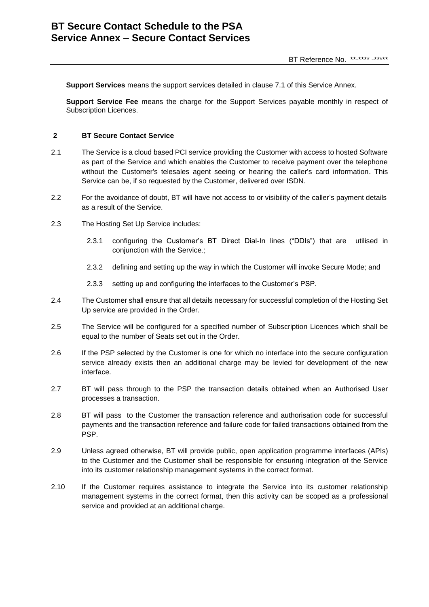**Support Services** means the support services detailed in clause [7.1](#page-9-1) of this Service Annex.

**Support Service Fee** means the charge for the Support Services payable monthly in respect of Subscription Licences.

#### **2 BT Secure Contact Service**

- 2.1 The Service is a cloud based PCI service providing the Customer with access to hosted Software as part of the Service and which enables the Customer to receive payment over the telephone without the Customer's telesales agent seeing or hearing the caller's card information. This Service can be, if so requested by the Customer, delivered over ISDN.
- 2.2 For the avoidance of doubt, BT will have not access to or visibility of the caller's payment details as a result of the Service.
- 2.3 The Hosting Set Up Service includes:
	- 2.3.1 configuring the Customer's BT Direct Dial-In lines ("DDIs") that are utilised in conjunction with the Service.;
	- 2.3.2 defining and setting up the way in which the Customer will invoke Secure Mode; and
	- 2.3.3 setting up and configuring the interfaces to the Customer's PSP.
- 2.4 The Customer shall ensure that all details necessary for successful completion of the Hosting Set Up service are provided in the Order.
- 2.5 The Service will be configured for a specified number of Subscription Licences which shall be equal to the number of Seats set out in the Order.
- 2.6 If the PSP selected by the Customer is one for which no interface into the secure configuration service already exists then an additional charge may be levied for development of the new interface.
- 2.7 BT will pass through to the PSP the transaction details obtained when an Authorised User processes a transaction.
- 2.8 BT will pass to the Customer the transaction reference and authorisation code for successful payments and the transaction reference and failure code for failed transactions obtained from the PSP.
- 2.9 Unless agreed otherwise, BT will provide public, open application programme interfaces (APIs) to the Customer and the Customer shall be responsible for ensuring integration of the Service into its customer relationship management systems in the correct format.
- 2.10 If the Customer requires assistance to integrate the Service into its customer relationship management systems in the correct format, then this activity can be scoped as a professional service and provided at an additional charge.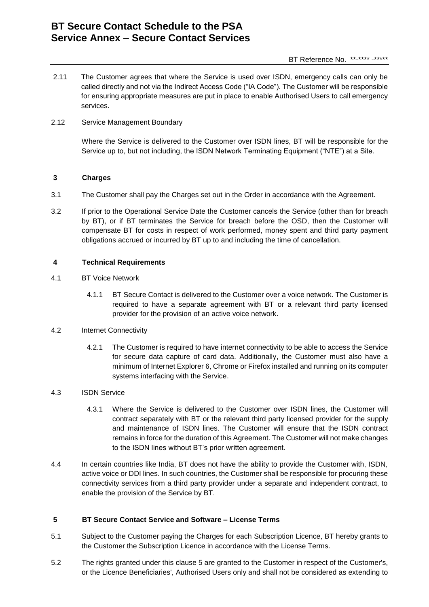# **BT Secure Contact Schedule to the PSA Service Annex – Secure Contact Services**

2.11 The Customer agrees that where the Service is used over ISDN, emergency calls can only be called directly and not via the Indirect Access Code ("IA Code"). The Customer will be responsible for ensuring appropriate measures are put in place to enable Authorised Users to call emergency services.

## 2.12 Service Management Boundary

Where the Service is delivered to the Customer over ISDN lines, BT will be responsible for the Service up to, but not including, the ISDN Network Terminating Equipment ("NTE") at a Site.

## **3 Charges**

- 3.1 The Customer shall pay the Charges set out in the Order in accordance with the Agreement.
- 3.2 If prior to the Operational Service Date the Customer cancels the Service (other than for breach by BT), or if BT terminates the Service for breach before the OSD, then the Customer will compensate BT for costs in respect of work performed, money spent and third party payment obligations accrued or incurred by BT up to and including the time of cancellation.

## **4 Technical Requirements**

- 4.1 BT Voice Network
	- 4.1.1 BT Secure Contact is delivered to the Customer over a voice network. The Customer is required to have a separate agreement with BT or a relevant third party licensed provider for the provision of an active voice network.

#### 4.2 Internet Connectivity

4.2.1 The Customer is required to have internet connectivity to be able to access the Service for secure data capture of card data. Additionally, the Customer must also have a minimum of Internet Explorer 6, Chrome or Firefox installed and running on its computer systems interfacing with the Service.

#### 4.3 ISDN Service

- 4.3.1 Where the Service is delivered to the Customer over ISDN lines, the Customer will contract separately with BT or the relevant third party licensed provider for the supply and maintenance of ISDN lines. The Customer will ensure that the ISDN contract remains in force for the duration of this Agreement. The Customer will not make changes to the ISDN lines without BT's prior written agreement.
- 4.4 In certain countries like India, BT does not have the ability to provide the Customer with, ISDN, active voice or DDI lines. In such countries, the Customer shall be responsible for procuring these connectivity services from a third party provider under a separate and independent contract, to enable the provision of the Service by BT.

#### <span id="page-6-0"></span>**5 BT Secure Contact Service and Software – License Terms**

- 5.1 Subject to the Customer paying the Charges for each Subscription Licence, BT hereby grants to the Customer the Subscription Licence in accordance with the License Terms.
- 5.2 The rights granted under this clause [5](#page-6-0) are granted to the Customer in respect of the Customer's, or the Licence Beneficiaries', Authorised Users only and shall not be considered as extending to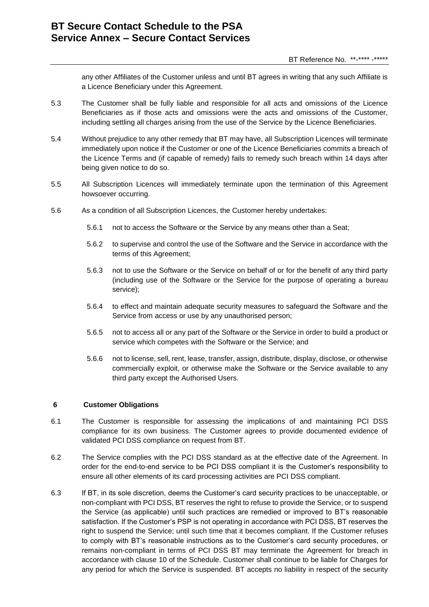any other Affiliates of the Customer unless and until BT agrees in writing that any such Affiliate is a Licence Beneficiary under this Agreement.

- 5.3 The Customer shall be fully liable and responsible for all acts and omissions of the Licence Beneficiaries as if those acts and omissions were the acts and omissions of the Customer, including settling all charges arising from the use of the Service by the Licence Beneficiaries.
- 5.4 Without prejudice to any other remedy that BT may have, all Subscription Licences will terminate immediately upon notice if the Customer or one of the Licence Beneficiaries commits a breach of the Licence Terms and (if capable of remedy) fails to remedy such breach within 14 days after being given notice to do so.
- 5.5 All Subscription Licences will immediately terminate upon the termination of this Agreement howsoever occurring.
- 5.6 As a condition of all Subscription Licences, the Customer hereby undertakes:
	- 5.6.1 not to access the Software or the Service by any means other than a Seat;
	- 5.6.2 to supervise and control the use of the Software and the Service in accordance with the terms of this Agreement;
	- 5.6.3 not to use the Software or the Service on behalf of or for the benefit of any third party (including use of the Software or the Service for the purpose of operating a bureau service);
	- 5.6.4 to effect and maintain adequate security measures to safeguard the Software and the Service from access or use by any unauthorised person;
	- 5.6.5 not to access all or any part of the Software or the Service in order to build a product or service which competes with the Software or the Service; and
	- 5.6.6 not to license, sell, rent, lease, transfer, assign, distribute, display, disclose, or otherwise commercially exploit, or otherwise make the Software or the Service available to any third party except the Authorised Users.

#### **6 Customer Obligations**

- 6.1 The Customer is responsible for assessing the implications of and maintaining PCI DSS compliance for its own business. The Customer agrees to provide documented evidence of validated PCI DSS compliance on request from BT.
- 6.2 The Service complies with the PCI DSS standard as at the effective date of the Agreement. In order for the end-to-end service to be PCI DSS compliant it is the Customer's responsibility to ensure all other elements of its card processing activities are PCI DSS compliant.
- 6.3 If BT, in its sole discretion, deems the Customer's card security practices to be unacceptable, or non-compliant with PCI DSS, BT reserves the right to refuse to provide the Service, or to suspend the Service (as applicable) until such practices are remedied or improved to BT's reasonable satisfaction. If the Customer's PSP is not operating in accordance with PCI DSS, BT reserves the right to suspend the Service; until such time that it becomes compliant. If the Customer refuses to comply with BT's reasonable instructions as to the Customer's card security procedures, or remains non-compliant in terms of PCI DSS BT may terminate the Agreement for breach in accordance with clause 10 of the Schedule. Customer shall continue to be liable for Charges for any period for which the Service is suspended. BT accepts no liability in respect of the security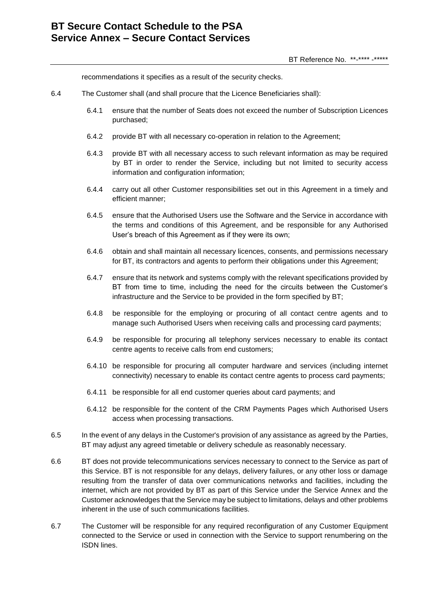recommendations it specifies as a result of the security checks.

- 6.4 The Customer shall (and shall procure that the Licence Beneficiaries shall):
	- 6.4.1 ensure that the number of Seats does not exceed the number of Subscription Licences purchased;
	- 6.4.2 provide BT with all necessary co-operation in relation to the Agreement;
	- 6.4.3 provide BT with all necessary access to such relevant information as may be required by BT in order to render the Service, including but not limited to security access information and configuration information;
	- 6.4.4 carry out all other Customer responsibilities set out in this Agreement in a timely and efficient manner;
	- 6.4.5 ensure that the Authorised Users use the Software and the Service in accordance with the terms and conditions of this Agreement, and be responsible for any Authorised User's breach of this Agreement as if they were its own;
	- 6.4.6 obtain and shall maintain all necessary licences, consents, and permissions necessary for BT, its contractors and agents to perform their obligations under this Agreement;
	- 6.4.7 ensure that its network and systems comply with the relevant specifications provided by BT from time to time, including the need for the circuits between the Customer's infrastructure and the Service to be provided in the form specified by BT;
	- 6.4.8 be responsible for the employing or procuring of all contact centre agents and to manage such Authorised Users when receiving calls and processing card payments;
	- 6.4.9 be responsible for procuring all telephony services necessary to enable its contact centre agents to receive calls from end customers;
	- 6.4.10 be responsible for procuring all computer hardware and services (including internet connectivity) necessary to enable its contact centre agents to process card payments;
	- 6.4.11 be responsible for all end customer queries about card payments; and
	- 6.4.12 be responsible for the content of the CRM Payments Pages which Authorised Users access when processing transactions.
- 6.5 In the event of any delays in the Customer's provision of any assistance as agreed by the Parties, BT may adjust any agreed timetable or delivery schedule as reasonably necessary.
- 6.6 BT does not provide telecommunications services necessary to connect to the Service as part of this Service. BT is not responsible for any delays, delivery failures, or any other loss or damage resulting from the transfer of data over communications networks and facilities, including the internet, which are not provided by BT as part of this Service under the Service Annex and the Customer acknowledges that the Service may be subject to limitations, delays and other problems inherent in the use of such communications facilities.
- 6.7 The Customer will be responsible for any required reconfiguration of any Customer Equipment connected to the Service or used in connection with the Service to support renumbering on the ISDN lines.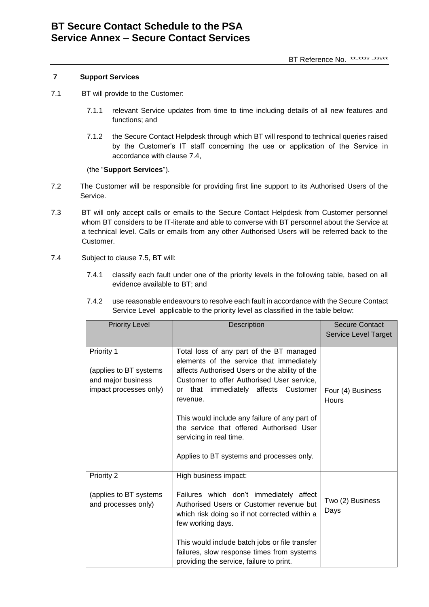#### **7 Support Services**

- <span id="page-9-1"></span>7.1 BT will provide to the Customer:
	- 7.1.1 relevant Service updates from time to time including details of all new features and functions; and
	- 7.1.2 the Secure Contact Helpdesk through which BT will respond to technical queries raised by the Customer's IT staff concerning the use or application of the Service in accordance with clause 7.4,

(the "**Support Services**").

- 7.2 The Customer will be responsible for providing first line support to its Authorised Users of the Service.
- 7.3 BT will only accept calls or emails to the Secure Contact Helpdesk from Customer personnel whom BT considers to be IT-literate and able to converse with BT personnel about the Service at a technical level. Calls or emails from any other Authorised Users will be referred back to the Customer.
- <span id="page-9-0"></span>7.4 Subject to clause 7.5, BT will:
	- 7.4.1 classify each fault under one of the priority levels in the following table, based on all evidence available to BT; and
	- 7.4.2 use reasonable endeavours to resolve each fault in accordance with the Secure Contact Service Level applicable to the priority level as classified in the table below:

| <b>Priority Level</b>  | Description                                      | Secure Contact<br>Service Level Target |
|------------------------|--------------------------------------------------|----------------------------------------|
| Priority 1             | Total loss of any part of the BT managed         |                                        |
|                        | elements of the service that immediately         |                                        |
| (applies to BT systems | affects Authorised Users or the ability of the   |                                        |
| and major business     | Customer to offer Authorised User service,       |                                        |
| impact processes only) | or that immediately affects Customer<br>revenue. | Four (4) Business<br><b>Hours</b>      |
|                        |                                                  |                                        |
|                        | This would include any failure of any part of    |                                        |
|                        | the service that offered Authorised User         |                                        |
|                        | servicing in real time.                          |                                        |
|                        | Applies to BT systems and processes only.        |                                        |
|                        |                                                  |                                        |
| Priority 2             | High business impact:                            |                                        |
| (applies to BT systems | Failures which don't immediately affect          |                                        |
| and processes only)    | Authorised Users or Customer revenue but         | Two (2) Business                       |
|                        | which risk doing so if not corrected within a    | Days                                   |
|                        | few working days.                                |                                        |
|                        | This would include batch jobs or file transfer   |                                        |
|                        | failures, slow response times from systems       |                                        |
|                        | providing the service, failure to print.         |                                        |